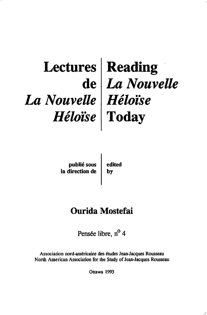## **Lectures de**  *La Nouvelle Héloïse*  **Reading**  *La Nouvelle Héloise*  **Today**

publié sous la direction de edited by

# **Ourida Mostefai**

Pensée libre, n<sup>o</sup> 4

Association nord-amêricaine des êtudes Jean-Jacques Rousseau North American Association for the Study of Jean-Jacques Rousseau

Ottawa 1993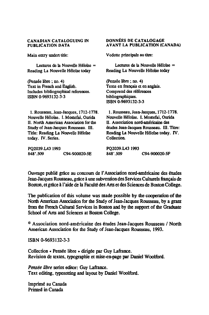#### CANADIAN CATALOGUING IN PUBLICATION DATA

Main entry undert tille:

Lectures de la Nouvelle Héloïse =<br>Reading La Nouvelle Héloïse today

(pensée libre ; no. 4) Text in French and Eoglish. Includes bibliographical references. ISBN 0-9693132-3-3

1. Rousseau, Jean-Jacques, 1712-1778. Nouvelle Héloïse. I. Mostefai, Ourida Il. North American Association for the Study of Jean-Jacques Rousseau. Ill. Tille: Reading La Nouvelle Héloïse today. IV. Series.

PQ2039.LA3 1993<br>848'.509 C94-900020-SE DONNÉES DE CATALOGAGE AVANT LA PUBLICATION (CANADA)

Vedette principale au titre:

Lectures de la Nouvelle Héloïse = Reading La Nouvelle Héloïse today

(pensée libre; no. 4) Texte en français et en anglais. Comprend des références bibliographiques. ISBN 0-9693132-3-3

1. Rousseau, Jean-Jacques, 1712-1778. Nouvelle Héloïse. 1. Mostefai, Outida Il. Association nord-américaine des études Jean-Jacques Rousseau. III. Titre: Reading La Nouvelle Héloïse today. IV. Collection.

PQ2039.LA3 1993<br>848'.509 C94-900020-SF

Ouvrage publié grâce au concours de l'Association nord-américaine des études Jean-Jacques Rousseau, grâce à une subvention des Services Culturels français de Boston, et grâce à l'aide de la Faculté des Ans et des Sciences de Boston College.

The publication of this volume was made possible by the cooperation of the North American Association for the Study of Jean-Jacques Rousseau, by a gram from the French Cultural Services in Boston and by the support of the Graduate School of Arts and Sciences at Boston College.

@ Association nord-américaine des études Jean-Jacques Rousseau 1 North American Association for the Study of Jean-Jacques Rousseau, 1993.

ISBN 0-9693132-3-3

Collection « Pensée libre » dirigée par Guy Lafrance. Revision de textes, typographie et mise-en-page par Daniel Woolford.

*Pensée übre* series editor: Guy Lafrance. Text editing, typesetting and Iayout by Daniel Woolford.

Imprimé au Canada Printed in Canada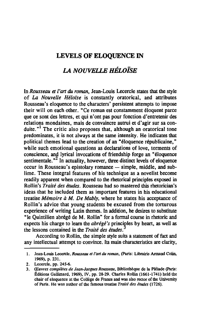### LEVELS OF ELOQUENCE IN

## *LA NOUVEUE HÉLOÏSE*

In *Rousseau* et *l'art du roman,* Jean-Louis Lecercle states that the style of *La Nouvelle Héloïse* is constantly oratorical, and attributes Rousseau's eloquence to the characters' persistent attempts to impose their will on each other. "Ce roman est constamment éloquent parce que ce sont des lettres, et qui n'ont pas pour fonction d'entretenir des relations mondaines, mais de convaincre autrui et d'agir sur sa conduite. $n<sup>1</sup>$  The critic also proposes that, although an oratorical tone predominates, it is not always at the same intensity. He indicates that political themes lead to the creation of an "éloquence républicaine," while such emotional questions as declarations of love, torments of conscience, and lyrical invocations of friendship forge an "éloquence sentimentale. $^{\prime\prime}$  In actuality, however, three distinct levels of eloquence  $occur$  in Rousseau's epistolary romance  $-$  simple, middle, and sublime. These integral features of his technique as a novelist become readily apparent when compared to the rhetorical principles exposed in Rollin's *Traité des études.* Rousseau had so mastered this rhetorician's ideas that he included them as important features in his educational treatise *Mémoire* à *M. De Mably,* where he states his acceptance of Rollin's advice that young students be excused from the torturous experience of writing Latin themes. In addition, he desires to substitute "le Quintilien abrégé de M. Rollin" for a formai course in rhetoric and expects his charge to learn the *abrégé's* principles by heart, as well as the lessons contained in the *Traité des études.* 

According to Rollin, the simple style suits a statement of fact and any intellectual attempt to convince. Its main characteristics are clarity,

<sup>1.</sup> Jean-Louis Lecercle, *Rousseau el J'art* du *roman,* (Paris: Librairie Annand Colin, 1969), p. 231.

<sup>2.</sup> Lecercle, pp. 245-6.

*<sup>3.</sup> Œuvres complètes de Jean-Jacques Rousseau,* Bibliothèque de la Pléiade (Paris: Éditions Gallimard, 1969), IV, pp. 28-29. Charles Rollin (1661-1741) held the chair of eloquence at the Collège de France and was also rector of the University of Paris. He was author of the famous treatise *Trailé des éludes (1726).*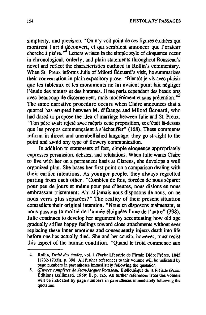simplicity, and precision. "On n'y voit point de ces figures étudiées qui montrent l'art à découvert, et qui semblent annoncer que l'orateur cherche à plaire. $n^4$  Letters written in the simple style of eloquence occur in chronological, orderly, and plain statements throughout Rousseau's novel and retlect the characteristics outlined in RoIlin's commentary. When St. Preux informs Julie of Milord Édouard's visit, he summarizes their conversation in plain expository prose. "Bientôt je vis avec plaisir que les tableaux et les monuments ne lui avaient point fait négliger l'étude des mœurs et des hommes. Il me parla cependant des beaux arts avec beaucoup de discernement, mais modérément et sans prétention. "S The same narrative procedure occurs when Claire announces that a quarrel has erupted between M. d'Étange and Milord Édouard, who had dared to propose the idea of marriage between Julie and St. Preux. "Ton père avait rejeté avec mépris cette proposition, et c'était là-dessus que les propos commençaient à s'échauffer" (168). These comments inform in direct and unembellished language; they go straight to the point and avoid any type of flowery communication.

In addition to statements of fact, simple eloquence appropriately expresses persuasion, debates, and refutations. When Julie wants Claire to live with her on a permanent basis at Clarens, she develops a weIl organized plan. She bases her first point on a comparison dealing with their earlier intentions. As younger people, they always regretted parting from each other. "Combien de fois, forcées de nous séparer pour peu de jours et même pour peu d'heures, nous disions en nous embrassant tristement: Ah! si jamais nous disposons de nous, on ne nous verra plus séparées?" The reality of their present situation contradicts their original intention. "Nous en disposons maintenant, et nous passons la moitié de l'année éloignées l'une de l'autre" (398). Julie continues to develop her argument by accentuating how old age gradually stitles happy feelings toward close attachments without ever replacing these inner emotions and consequently injects death into life before one has actually died. She and her cousin, however, must resist this aspect of the human condition. "Quand le froid commence aux

<sup>4.</sup> Rollin. *Traité des études,* vol. 1 (paris: Librairie de Firmin Didot Frères, 1845 [1732-1733]), p. 398. All further references to this volume will be indicated by page numbers in parentheses immediately following the quotation.

*<sup>5.</sup> Œuvres complètes de Jean-Jacques Rousseau,* Bibliothèque de la Pléiade (Paris: Éditions Gallimard, 1959) Il, p. 125. AU further references from this volume will be indicated by page numbers in parentheses immediately following the quotation.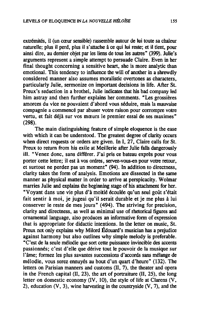extrémités, il (un cœur sensible) rassemble autour de lui toute sa chaleur naturelle; plus il perd, plus il s'attache à ce qui lui reste; et il tient, pour ainsi dire, au dernier objet par les liens de tous les autres" (399). Julie's arguments represent a simple attempt to persuade Claire. Even in her final thought concerning a sensitive heart, she is more analytic than emotional. This tendency to influence the will of another in a shrewdly considered manner also assumes moralistic overtones as characters, particularly Julie, sermonize on important decisions in life. After St. Preux's seduction in a brothel, Julie indicates that his bad company led him astray and then further explains her comments. "Les grossières amorces du vice ne pouvaient d'abord vous séduire, mais la mauvaise compagnie a commencé par abuser votre raison pour corrompre votre vertu, et fait déjà sur vos mœurs le premier essai de ses maximes" (298).

The main distinguishing feature of simple eloquence is the ease with which it can be understood. The greatest degree of clarity occurs when direct requests or orders are given. In I,  $27$ , Claire calls for St. Preux to return from his exile at Meillerie after Julie falls dangerously ill. "Venez donc, sans différer. J'ai pris ce bateau exprès pour vous porter cette lettre; il est à vos ordres, servez-vous-en pour votre retour, et surtout ne perdez pas un moment" (94). In addition to directness, clarity takes the form of analysis. Emotions are dissected in the same manner as physical matter in order to arrive at perspicacity. Wolmar marries Julie and explains the beginning stage of his attachment for her. "Voyant dans une vie plus d'à moitié écoulée qu'un seul goût s'était fait sentir à moi, je jugeai qu'il serait durable et je me plus à lui conserver le reste de mes jours" (494). The striving for precision, clarity and directness, as weil as minimal use of rhetorical figures and ornamental language. also produces an informative form of expression that is appropriate for didactic intentions. In the letter on music, St. Preux not only explains why Milord Édouard's musician has a prejudice against harmony but also outlines why simple melody is preferable. "C'est de la seule mélodie que sort cette puissance invincible des accents passionnés; c'est d'elle que dérive tout le pouvoir de la musique sur l'âme; formez les plus savantes successions d'accords sans mélange de mélodie, vous serez ennuyés au bout d'un quart d'heure" (132). The letters on Parisian manners and customs (II, 7), the theater and opera in the French capital  $(II, 23)$ , the art of portraiture  $(II, 25)$ , the long letter on domestic economy (IV. 10), the style of life at Clarens (V, 2), education  $(V, 3)$ , wine harvesting in the countryside  $(V, 7)$ , and the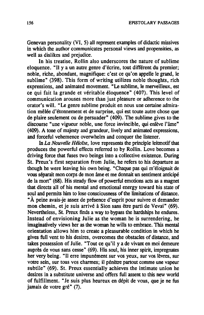Genevan personality (VI, 5) ail represent examples of didactic missives in which the author communicates personal views and propensities, as weil as dislikes and prejudice.

In his treatise, Rollin also underscores the nature of sublime eloquence. "Il y a un autre genre d'écrire, tout différent du premier; noble, riche, abondant, magnifique: c'est ce qu'on appelle le grand, le sublime" (398). This form of writing utilizes noble thoughts, rich expressions, and animated movement. "Le sublime, le merveilleux, est ce qui fait la grande et véritable éloquence" (407). This level of communication arouses more than just pleasure or adherence to the orator's will. "Le genre sublime produit en nous une certaine admiration mêlée d'étonnement et de surprise, qui est toute autre chose que de plaire seulement ou de persuader" (409). The sublime gives to the discourse "une vigueur noble, une force invincible, qui enlève l'âme" (409). A tone of majesty and grandeur. lively and animated expressions, and forceful vehemence overwhelm and conquer the Iistener.

In *La Nouvelle Héloïse,* love represents the principle leitmotif that produces the powerful effects referred to by Rollin. Love becomes a driving force that fuses two beings into a collective existence. During St. Preux's first separation from Julie, he refers to his departure as though he were leaving his own being. "Chaque pas qui m'éloignait de vous séparait mon corps de mon âme et me donnait un sentiment anticipé de la mort" (68). His steady flow of powerful emotions acts as a magnet that directs ail of his mental and emotional energy toward his state of soul and permits him to lose consciousness of the limitations of distance . "À peine avais-je assez de présence d'esprit pour suivre et demander mon chemin, et je suis arrivé à Sion sans être parti de Vevai" (69). Nevertheless, St. Preux finds a way to bypass the hardships he endures. Instead of envisioning Julie as the woman he is surrendering, he imaginatively views her as the woman he wills to embrace. This mental orientation allows him to create a pleasurable condition in which he gives full vent to his desires, overcomes the obstacles of distance, and takes possession of Julie. "Tout ce qu'il y a de vivant en moi demeure auprès de vous sans cesse" (69). His soul, his inner spirit, impregnates her very being. "JI erre impunément sur vos yeux, sur vos lèvres, sur votre sein, sur tous vos charmes; il pénètre partout comme une vapeur subtile" (69). St. Preux essentially achieves the intimate union he desires in a substitute universe and offers full assent to this new world of fulfillment. "Je suis plus heureux en dépit de vous, que je ne fus jamais de votre gré" (7).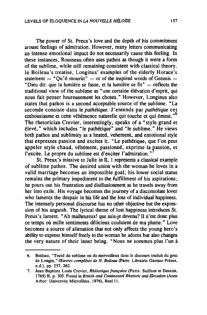The power of St. Preux's love and the depth of his commitment arouse feelings of admiration. However, many letters communicating an intense emotional impact do not necessarily cause this feeling. In these instances, Rousseau often uses pathos as though it were a form of the sublime, while still remaining consistent with classical theory. In Boileau's treatise. Longinus' examples of the elderly Horace's statement  $-$  "Ou'il mourût"  $-$  or of the inspired words of Genesis  $-$ "Dieu dit: que la lumière se fasse, et la lumière se fit"  $-$  reflects the traditional view of the sublime as "une certaine élévation d'esprit, qui nous fait penser heureusement les choses." However, Longinus also states that pathos is a second acceptable source of the sublime. "La seconde consiste dans le *pathétique.* J'entends par *pathétique* cet enthousiasme et cette véhémence naturelle qui touche et qui émeut.<sup>76</sup> The rhetorician Crevier, interestingly, speaks of a "style grand et élevé," which includes "le pathétique" and "le sublime." He views both pathos and sublimity as a heated, vehement, and emotional style that expresses passion and excites it. "Le pathétique, que l'on peut appeler style chaud, véhément, passionné, exprime la passion, et l'excite. Le propre du sublime est d'exciter l'admiration."

St. Preux's missive to Julie in II, 1 represents a classical example of sublime pathos. The desired union with the woman he loves in a valid marriage becomes an impossible goal; his lower social status remains the primary impediment to the fulfillment of his aspirations; he pours out his frustration and disillusionment as he travels away from her into exile. His voyage becomes the journey of a disconsolate lover who laments the despair in bis life and the loss of individual happiness. The intensely personal discourse has no other objective but the expression of his anguish. The Iyrical theme of lost happiness introduces St. Preux's lament. "Ah malheureux! que suis-je devenu? Il n'est donc plus ce temps où mille sentiments délicieux coulaient de ma plume." Love becomes a source of alienation that not only affects the young hero's ability to express himself freely to the woman he adores but also changes the very nature of their inner being. "Nous ne sommes plus l'un à

<sup>6.</sup> Boileau, "Traité du sublime ou du merveilleux dans le discours traduit du grec de Longin." *Œuvres complèles de N. Boileau* (paris: Librairie Garnier Frères. n.d.). pp. 257.262.

<sup>7.</sup> Jean Baptiste Louis Crcvicr. *Rhéloriquefrançaise* (Paris: Saillant et Desaint, 1765) II, p. 305. Found in *British and Continental Rhetoric and Elocution* (Anne Arbor: University Microfilms, 1976), Reel 11.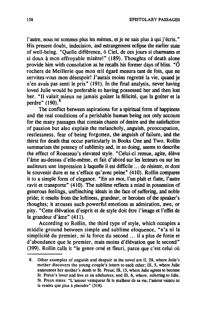l'autre, nous ne sommes plus les mêmes, et je ne sais plus à qui j'écris." His present doubt, indecision, and estrangement ectipse the eartier state of well-being. "Quelle différence, ô Ciel, de ces jours si charmants et si doux à mon effroyable misère!" (189). Thoughts of death alone provide him with consolation as he recalls his former days of bliss. " $\hat{O}$ rochers de Meillerie que mon œil égaré mesura tant de fois, que ne servites-vous mon désespoir! J'aurais moins regretté la vie, quand je n'en avais pas senti le prix" (191). In the final analysis, never having loved Julie would be preferable to having possessed her and then lost her. "Il valait mieux ne jamais goûter la félicité, que la goûter et la perdre"  $(190)$ .<sup>8</sup>

The conflict between aspirations for a spiritual form of happiness and the real conditions of a perishable human being not only account for the many passages that contain chants of desire and the satisfaction of passion but also explain the melancholy, anguish, preoccupation, restlessness, fear of being forgotten, the anguish of failure, and the thirst for death that occur particularly in Books One and Two. Rollin summarizes the potency of sublimity and, in so doing, seems to describe the effect of Rousseau's elevated style. "Celui-ci remue, agite, élève l'âme au-dessus d'elle-même, et fait d'abord sur les lecteurs ou sur les auditeurs une impression à laquelle il est difficile ... de résister, et dont le souvenir dure et ne s'efface qu'avec peine" (410). Rollin compares it to a simple fonn of elegance. "En un mot, l'un plaît et flatte, l'autre ravit et transporte" (410). The sublime reflects a mind in possession of generous feelings, unflinching ideals in the face of suffering, and noble pride; it results from the loftiness, grandeur, or heroism of the speaker's thoughts; it arouses such powerful emotions as admiration, awe, or pity. "Cette élévation d'esprit et de style doit être l'image et l'effet de la grandeur d'âme" (411).

According to Rollin, the third type of style, which occupies a middle ground between simple and sublime eloquence, "n'a ni la simplicité du premier, ni la force du second ... il a plus de force et d'abondance que le premier, mais moins d'élévation que le second" (399). Rollin calls it "le genre orné et fleuri, parce que c'est celui où

<sup>8.</sup> Other examples of anguish and despair in the novel are Il, 28, where Julie's mother discovers the young couple's lelters to each other; III, 5, where Julie announces her mother's death to St. Preux; III, 15, where Julie agrees to become St. Preux's lover and live as an adulteress; and III, 6, where, referring to Julie, St. Preux states: "L'amour vainqueur fit le malheur de sa vie; l'amour vaincu ne la rendra que plus à plaindre" (318).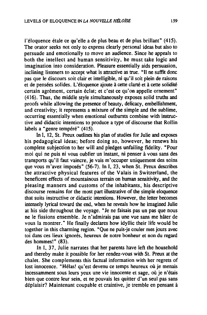l'éloquence étale ce qu'elle a de plus beau et de plus brillant" (415). The orator seeks not only to express clearly personal ideas but also to persuade and emotionally to move an audience. Since he appeals to both the intellect and human sensitivity, he must take logic and imagination into consideration. Pleasure essentially aids persuasion, inclining listeners to accept what is attractive as true. "Il ne suffit donc pas que le discours soit clair et intelligible, ni qu'il soit plein de raisons et de pensées solides. L'éloquence ajoute à cette clarté et à cette solidité certain agrément, certain éclat; et c'est ce qu'on appelle ornement" (416). Thus, the middle style simultaneously exposes solid truths and proofs while allowing the presence of beauty, delicacy, embellishment, and creativity; it represents a mixture of the simple and the sublime, occurring essentially when emotional outbursts combine with instructive and didactic intentions to produce a type of discourse that Rollin labels a "genre tempéré" (415).

In I, 12, St. Preux outlines bis plan of studies for Julie and exposes his pedagogical ideas; before doing so, however, he renews his complete subjection to her will and pledges unfailing tidelity. "Pour moi qui ne puis ni vous oublier un instant, ni penser à vous sans des transports qu'il faut vaincre, je vais m'occuper uniquement des soins que vous m'avez imposés" (56-7). In I, 23, when St. Preux describes the attractive physical features of the Valais in Switzerland, the beneticent effects of mountainous terrain on human sensitivity, and the pleasing manners and customs of the inhabitants, his descriptive discourse remains for the most part illustrative of the simple eloquence that suits instructive or didactic intentions. However, the letter becomes intensely Iyrical toward the end, when he reveals how he imagined Julie at his side throughout the voyage. "Je ne faisais pas un pas que nous ne le fissions ensemble. Je n'admirais pas une vue sans me hâter de vous la montrer." He finally declares how idyllic their life would be together in this charming region. "Que ne puis-je couler mes jours avec toi dans ces lieux ignorés, heureux de notre bonheur et non du regard des hommes!" (83).

In l, 37, Julie narrates that her parents have left the household and thereby make it possible for her rendez-vous with St. Preux at the chalet. She complements this factual information with her regrets of lost innocence. "Hélas! qu'est devenu ce temps heureux où je menais incessamment sous leurs yeux une vie innocente et sage, où je n'étais bien que contre leur sein, et ne pouvais les quitter d'un seul pas sans déplaisir? Maintenant coupable et craintive, je tremble en pensant à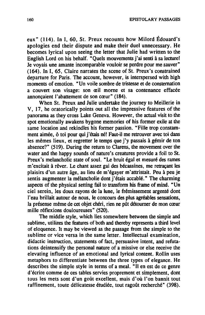eux" (1l4). In l, 60, St. Preux recounts how Milord Édouard's apologies end their dispute and make their duel unnecessary. He becomes lyrical upon seeing the letter that Julie had written to the English Lord on his behalf. "Quels mouvements j'ai senti à sa lecture! Je voyais une amante incomparable vouloir se perdre pour me sauver" (164). In l, 65, Claire narrates the scene of St. Preux's constrained departure for Paris. The account, however, is interspersed with high moments of emotion. "Un voile sombre de tristesse et de consternation a couvert son visage: son œil morne et sa contenance effacée annonçaient l'abattement de son cœur" (184).

When St. Preux and Julie undertake the journey to Meillerie in V, 17, he oratorically points out aIl the impressive features of the panorama as they cross Lake Geneva. However, the actual visit to the spot emotionally awakens bygone memories of his former exile at the same location and rekindles his former passion. "Fille trop constamment aimée, ô toi pour qui j'étais né! Faut-il me retrouver avec toi dans les mêmes lieux, et regretter le temps que j'y passais à gémir de ton absence?" (519). During the retum to Clarens, the movement over the water and the happy sounds of nature's creatures provide a foil to St. Preux's melancholic state of soul. "Le bruit égal et mesuré des rames m'excitait à rêver. Le chant assez gai des bécassines, me retraçant les plaisirs d'un autre âge, au lieu de m'égayer m'attristait. Peu à peu je sentis augmenter la mélancholie dont j'étais accablé." The charming aspects of the physical setting fail to transform bis frame of mind. "Un ciel serein, les doux rayons de la lune, le frémissement argenté dont l'eau brillait autour de nous, le concours des plus agréables sensations, la présense même de cet objet chéri, rien ne pût détourner de mon cœur mille réflexions douloureuses" (520).

The middle style, which lies somewhere between the simple and sublime, utilizes the features of both and thereby represents a third level of eloquence. It May be viewed as the passage from the simple to the sublime or vice versa in the same letter. Intellectual examination, didactic instruction, statements of fact, persuasive intent, and refutations deintensify the personal nature of a missive or else receive the elevating influence of an emotional and lyrical content. Rollin uses metaphors to differentiate between the three types of elegance. He describes the simple style in terms of a meal. "Il en est de ce genre d'écrire comme de ces tables servies proprement et simplement, dont tous les mets sont d'un goût excellent, mais d'où l'on bannit tout raffinement, toute délicatesse étudiée, tout ragoût recherché" (398).